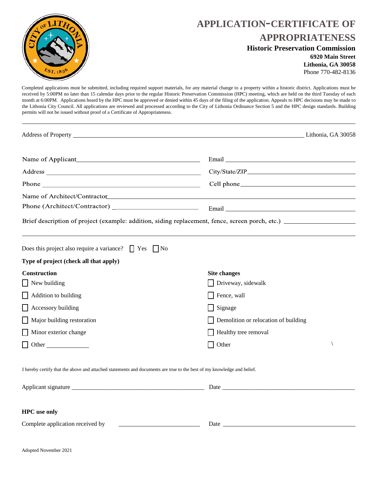

## **APPLICATION-CERTIFICATE OF APPROPRIATENESS**

#### **Historic Preservation Commission**

**6920 Main Street Lithonia, GA 30058** Phone 770-482-8136

Completed applications must be submitted, including required support materials, for any material change to a property within a historic district. Applications must be received by 5:00PM no later than 15 calendar days prior to the regular Historic Preservation Commission (HPC) meeting, which are held on the third Tuesday of each month at 6:00PM. Applications heard by the HPC must be approved or denied within 45 days of the filing of the application. Appeals to HPC decisions may be made to the Lithonia City Council. All applications are reviewed and processed according to the City of Lithonia Ordinance Section 5 and the HPC design standards. Building permits will not be issued without proof of a Certificate of Appropriateness.

| Address of Property Lithonia, GA 30058                                                                                                                                                                                                                                                 |                                                                                  |  |
|----------------------------------------------------------------------------------------------------------------------------------------------------------------------------------------------------------------------------------------------------------------------------------------|----------------------------------------------------------------------------------|--|
|                                                                                                                                                                                                                                                                                        |                                                                                  |  |
|                                                                                                                                                                                                                                                                                        |                                                                                  |  |
| Phone $\frac{1}{2}$ Phone $\frac{1}{2}$ Phone $\frac{1}{2}$ Phone $\frac{1}{2}$ Phone $\frac{1}{2}$ Phone $\frac{1}{2}$ Phone $\frac{1}{2}$ Phone $\frac{1}{2}$ Phone $\frac{1}{2}$ Phone $\frac{1}{2}$ Phone $\frac{1}{2}$ Phone $\frac{1}{2}$ Phone $\frac{1}{2}$ Phone $\frac{1}{2$ |                                                                                  |  |
|                                                                                                                                                                                                                                                                                        |                                                                                  |  |
|                                                                                                                                                                                                                                                                                        |                                                                                  |  |
| Brief description of project (example: addition, siding replacement, fence, screen porch, etc.)                                                                                                                                                                                        |                                                                                  |  |
| Does this project also require a variance? $\Box$ Yes $\Box$ No                                                                                                                                                                                                                        |                                                                                  |  |
| Type of project (check all that apply)                                                                                                                                                                                                                                                 |                                                                                  |  |
| Construction                                                                                                                                                                                                                                                                           | <b>Site changes</b>                                                              |  |
| $\blacksquare$ New building                                                                                                                                                                                                                                                            | Driveway, sidewalk                                                               |  |
| $\Box$ Addition to building                                                                                                                                                                                                                                                            | $\Box$ Fence, wall                                                               |  |
| $\Box$ Accessory building                                                                                                                                                                                                                                                              | $\Box$ Signage                                                                   |  |
| Major building restoration                                                                                                                                                                                                                                                             | Demolition or relocation of building                                             |  |
| Minor exterior change                                                                                                                                                                                                                                                                  | Healthy tree removal                                                             |  |
| $\Box$ Other                                                                                                                                                                                                                                                                           | Other<br>l 1                                                                     |  |
| I hereby certify that the above and attached statements and documents are true to the best of my knowledge and belief.                                                                                                                                                                 |                                                                                  |  |
|                                                                                                                                                                                                                                                                                        |                                                                                  |  |
| <b>HPC</b> use only                                                                                                                                                                                                                                                                    |                                                                                  |  |
| Complete application received by<br><u> 1989 - Johann Barn, mars ann an t-Amhain Aonaich an t-Aonaich an t-Aonaich ann an t-Aonaich ann an t-Aonaich</u>                                                                                                                               | Date $\frac{1}{\sqrt{1-\frac{1}{2}}\left(\frac{1}{\sqrt{1-\frac{1}{2}}}\right)}$ |  |
| Adopted November 2021                                                                                                                                                                                                                                                                  |                                                                                  |  |